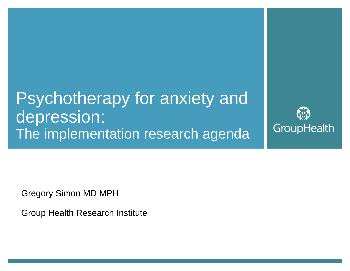Psychotherapy for anxiety and depression: The implementation research agenda

GroupHealth

Gregory Simon MD MPH

Group Health Research Institute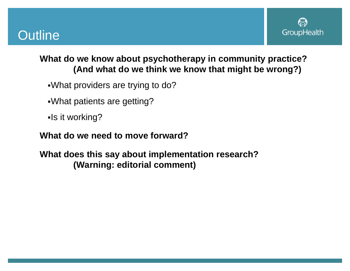



#### **What do we know about psychotherapy in community practice? (And what do we think we know that might be wrong?)**

- What providers are trying to do?
- What patients are getting?
- -Is it working?

#### **What do we need to move forward?**

**What does this say about implementation research? (Warning: editorial comment)**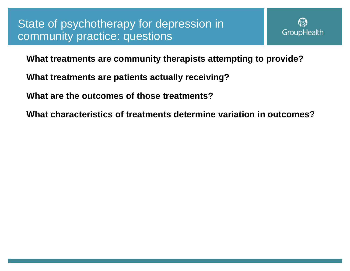

**What treatments are community therapists attempting to provide?**

- **What treatments are patients actually receiving?**
- **What are the outcomes of those treatments?**
- **What characteristics of treatments determine variation in outcomes?**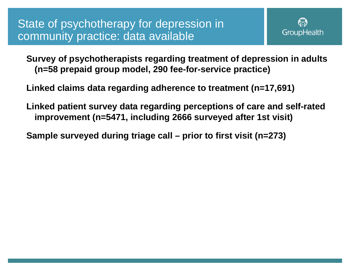

**Survey of psychotherapists regarding treatment of depression in adults (n=58 prepaid group model, 290 fee-for-service practice)**

**Linked claims data regarding adherence to treatment (n=17,691)**

**Linked patient survey data regarding perceptions of care and self-rated improvement (n=5471, including 2666 surveyed after 1st visit)**

**Sample surveyed during triage call – prior to first visit (n=273)**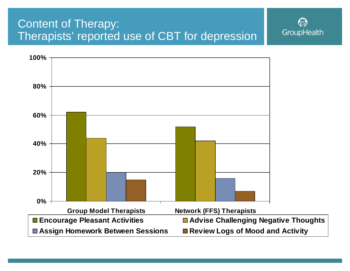## Content of Therapy: Therapists' reported use of CBT for depression



GroupHealth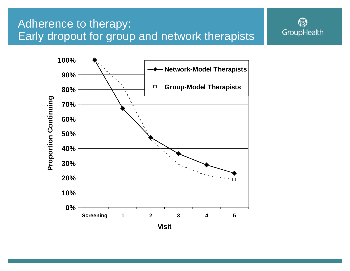## Adherence to therapy: Early dropout for group and network therapists



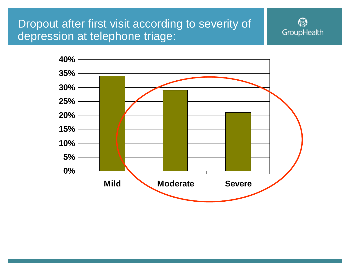## Dropout after first visit according to severity of depression at telephone triage:



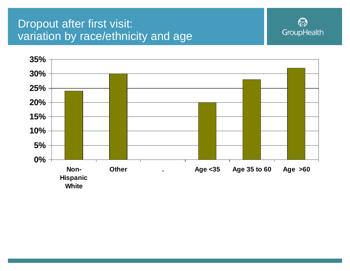## Dropout after first visit: variation by race/ethnicity and age



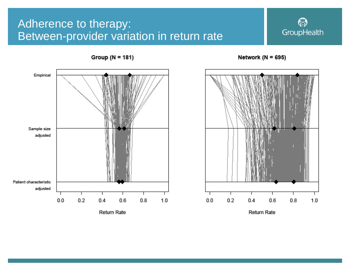## Adherence to therapy: Between-provider variation in return rate



 $1.0$ 

Empirical Sample size adjusted Patient characteristic adjusted  $0.0$  $0.2$  $0.4$  $0.6$  $0.8$  $1.0$  $0.0$  $0.2$  $0.4$  $0.6$  $0.8$ Return Rate

Group ( $N = 181$ )

Return Rate

Network ( $N = 695$ )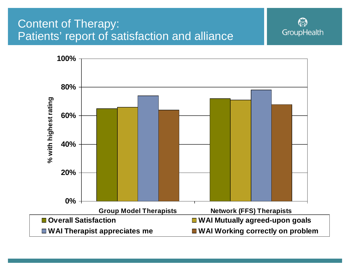## Content of Therapy: Patients' report of satisfaction and alliance



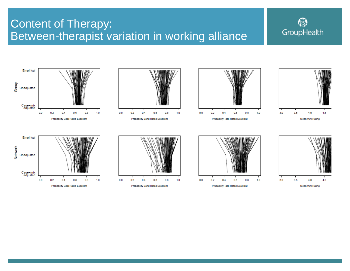## Content of Therapy: Between-therapist variation in working alliance

# GroupHealth

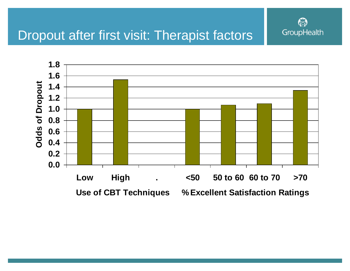

## Dropout after first visit: Therapist factors

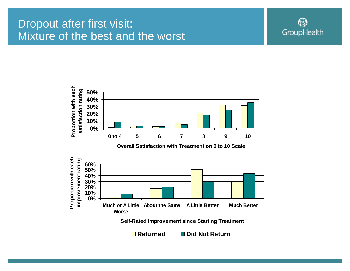### Dropout after first visit: Mixture of the best and the worst





**□ Returned** ■ Did Not Return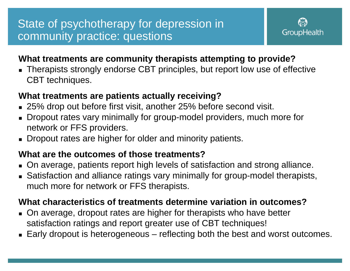## State of psychotherapy for depression in community practice: questions



#### **What treatments are community therapists attempting to provide?**

 Therapists strongly endorse CBT principles, but report low use of effective CBT techniques.

#### **What treatments are patients actually receiving?**

- 25% drop out before first visit, another 25% before second visit.
- ▉ Dropout rates vary minimally for group-model providers, much more for network or FFS providers.
- Dropout rates are higher for older and minority patients.

#### **What are the outcomes of those treatments?**

- On average, patients report high levels of satisfaction and strong alliance.
- Satisfaction and alliance ratings vary minimally for group-model therapists, much more for network or FFS therapists.

#### **What characteristics of treatments determine variation in outcomes?**

- On average, dropout rates are higher for therapists who have better satisfaction ratings and report greater use of CBT techniques!
- ▉ Early dropout is heterogeneous – reflecting both the best and worst outcomes.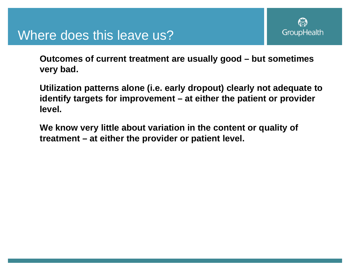

## Where does this leave us?

**Outcomes of current treatment are usually good – but sometimes very bad.**

**Utilization patterns alone (i.e. early dropout) clearly not adequate to identify targets for improvement – at either the patient or provider level.**

**We know very little about variation in the content or quality of treatment – at either the provider or patient level.**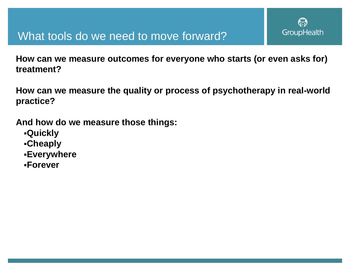

### What tools do we need to move forward?

**How can we measure outcomes for everyone who starts (or even asks for) treatment?**

**How can we measure the quality or process of psychotherapy in real-world practice?**

**And how do we measure those things:**

- **Quickly**
- **Cheaply**
- **Everywhere**
- **Forever**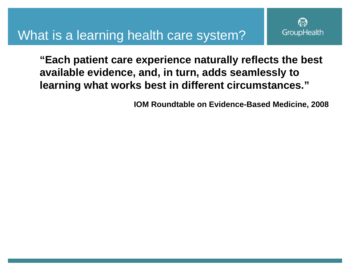## What is a learning health care system?

**"Each patient care experience naturally reflects the best available evidence, and, in turn, adds seamlessly to learning what works best in different circumstances."**

**IOM Roundtable on Evidence-Based Medicine, 2008**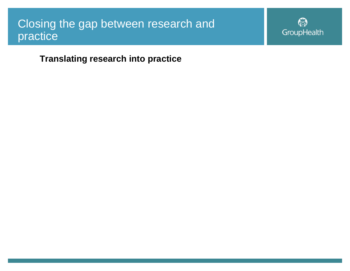### Closing the gap between research and practice

ি∂ GroupHealth

**Translating research into practice**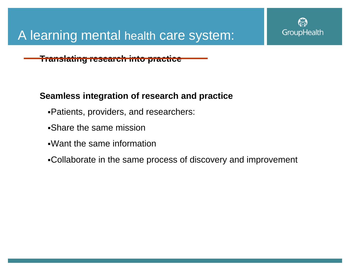

#### **Translating research into practice**

#### **Seamless integration of research and practice**

- Patients, providers, and researchers:
- Share the same mission
- Want the same information
- Collaborate in the same process of discovery and improvement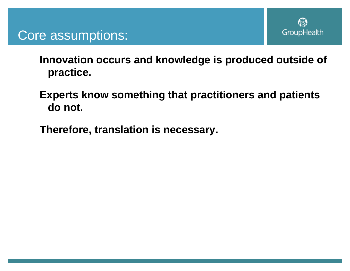

## Core assumptions:

**Innovation occurs and knowledge is produced outside of practice.**

- **Experts know something that practitioners and patients do not.**
- **Therefore, translation is necessary.**